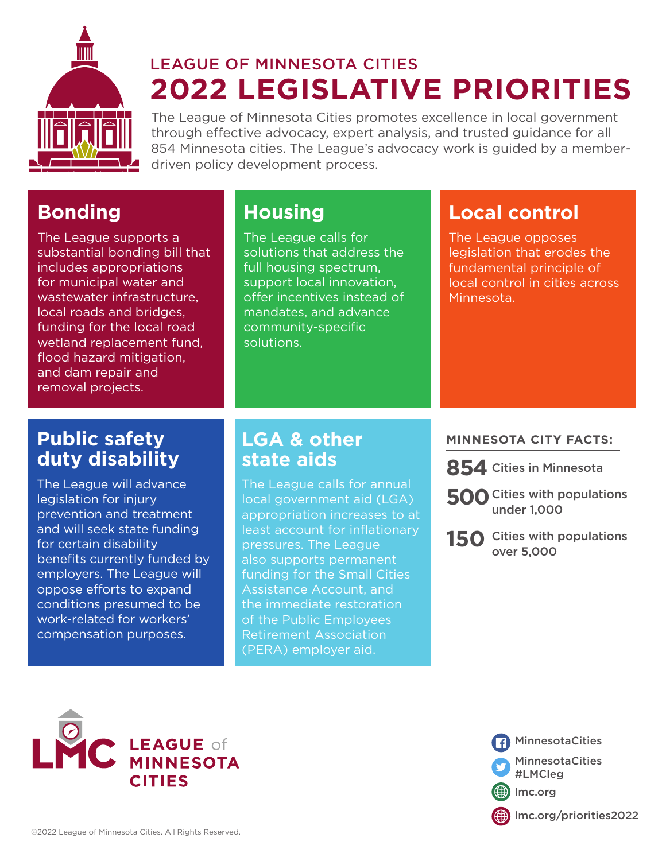

# **2022 LEGISLATIVE PRIORITIES** LEAGUE OF MINNESOTA CITIES

The League of Minnesota Cities promotes excellence in local government through effective advocacy, expert analysis, and trusted guidance for all 854 Minnesota cities. The League's advocacy work is guided by a memberdriven policy development process.

## **Bonding**

The League supports a substantial bonding bill that includes appropriations for municipal water and wastewater infrastructure, local roads and bridges, funding for the local road wetland replacement fund, flood hazard mitigation, and dam repair and removal projects.

## **Housing**

The League calls for solutions that address the full housing spectrum, support local innovation, offer incentives instead of mandates, and advance community-specific solutions.

## **Local control**

The League opposes legislation that erodes the fundamental principle of local control in cities across Minnesota.

## **Public safety duty disability**

The League will advance legislation for injury prevention and treatment and will seek state funding for certain disability benefits currently funded by employers. The League will oppose efforts to expand conditions presumed to be work-related for workers' compensation purposes.

## **LGA & other state aids**

The League calls for annual local government aid (LGA) appropriation increases to at least account for inflationary pressures. The League also supports permanent funding for the Small Cities Assistance Account, and the immediate restoration of the Public Employees Retirement Association (PERA) employer aid.

#### **MINNESOTA CITY FACTS:**

- **854** Cities in Minnesota
- **500** Cities with populations under 1,000
- **150** Cities with populations over 5,000